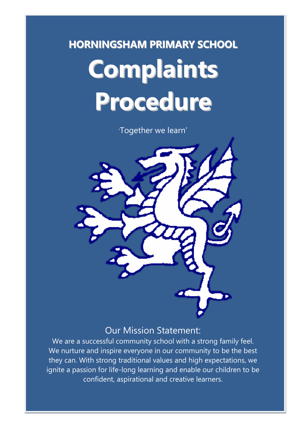# **HORNINGSHAM PRIMARY SCHOOL Complaints Procedure**

'Together we learn'

### Our Mission Statement:

We are a successful community school with a strong family feel. We nurture and inspire everyone in our community to be the best they can. With strong traditional values and high expectations, we ignite a passion for life-long learning and enable our children to be confident, aspirational and creative learners.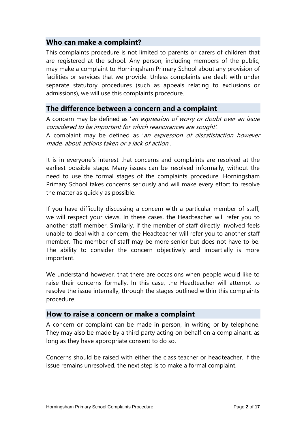### **Who can make a complaint?**

This complaints procedure is not limited to parents or carers of children that are registered at the school. Any person, including members of the public, may make a complaint to Horningsham Primary School about any provision of facilities or services that we provide. Unless complaints are dealt with under separate statutory procedures (such as appeals relating to exclusions or admissions), we will use this complaints procedure.

### **The difference between a concern and a complaint**

A concern may be defined as 'an expression of worry or doubt over an issue considered to be important for which reassurances are sought'. A complaint may be defined as 'an expression of dissatisfaction however made, about actions taken or a lack of action'.

It is in everyone's interest that concerns and complaints are resolved at the earliest possible stage. Many issues can be resolved informally, without the need to use the formal stages of the complaints procedure. Horningsham Primary School takes concerns seriously and will make every effort to resolve the matter as quickly as possible.

If you have difficulty discussing a concern with a particular member of staff, we will respect your views. In these cases, the Headteacher will refer you to another staff member. Similarly, if the member of staff directly involved feels unable to deal with a concern, the Headteacher will refer you to another staff member. The member of staff may be more senior but does not have to be. The ability to consider the concern objectively and impartially is more important.

We understand however, that there are occasions when people would like to raise their concerns formally. In this case, the Headteacher will attempt to resolve the issue internally, through the stages outlined within this complaints procedure.

### **How to raise a concern or make a complaint**

A concern or complaint can be made in person, in writing or by telephone. They may also be made by a third party acting on behalf on a complainant, as long as they have appropriate consent to do so.

Concerns should be raised with either the class teacher or headteacher. If the issue remains unresolved, the next step is to make a formal complaint.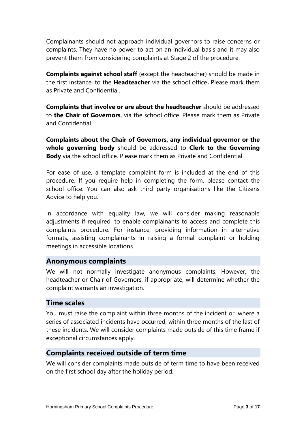Complainants should not approach individual governors to raise concerns or complaints. They have no power to act on an individual basis and it may also prevent them from considering complaints at Stage 2 of the procedure.

**Complaints against school staff** (except the headteacher) should be made in the first instance, to the **Headteacher** via the school office**.** Please mark them as Private and Confidential.

**Complaints that involve or are about the headteacher** should be addressed to **the Chair of Governors**, via the school office. Please mark them as Private and Confidential.

**Complaints about the Chair of Governors, any individual governor or the whole governing body** should be addressed to **Clerk to the Governing Body** via the school office. Please mark them as Private and Confidential.

For ease of use, a template complaint form is included at the end of this procedure. If you require help in completing the form, please contact the school office. You can also ask third party organisations like the Citizens Advice to help you.

In accordance with equality law, we will consider making reasonable adjustments if required, to enable complainants to access and complete this complaints procedure. For instance, providing information in alternative formats, assisting complainants in raising a formal complaint or holding meetings in accessible locations.

### **Anonymous complaints**

We will not normally investigate anonymous complaints. However, the headteacher or Chair of Governors, if appropriate, will determine whether the complaint warrants an investigation.

### **Time scales**

You must raise the complaint within three months of the incident or, where a series of associated incidents have occurred, within three months of the last of these incidents. We will consider complaints made outside of this time frame if exceptional circumstances apply.

### **Complaints received outside of term time**

We will consider complaints made outside of term time to have been received on the first school day after the holiday period.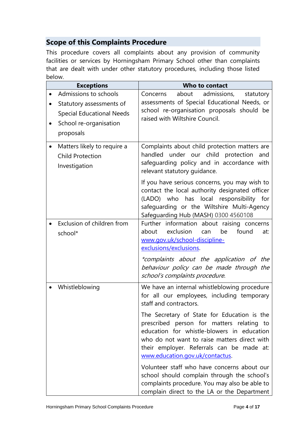### **Scope of this Complaints Procedure**

This procedure covers all complaints about any provision of community facilities or services by Horningsham Primary School other than complaints that are dealt with under other statutory procedures, including those listed below.

| <b>Exceptions</b>                                                                                                            | Who to contact                                                                                                                                                                                                                                                                                                                                                                                                                                                                                                                                                                               |
|------------------------------------------------------------------------------------------------------------------------------|----------------------------------------------------------------------------------------------------------------------------------------------------------------------------------------------------------------------------------------------------------------------------------------------------------------------------------------------------------------------------------------------------------------------------------------------------------------------------------------------------------------------------------------------------------------------------------------------|
| Admissions to schools<br>Statutory assessments of<br><b>Special Educational Needs</b><br>School re-organisation<br>proposals | about<br>admissions,<br>Concerns<br>statutory<br>assessments of Special Educational Needs, or<br>school re-organisation proposals should be<br>raised with Wiltshire Council.                                                                                                                                                                                                                                                                                                                                                                                                                |
| Matters likely to require a<br><b>Child Protection</b><br>Investigation                                                      | Complaints about child protection matters are<br>handled under our child protection<br>and<br>safeguarding policy and in accordance with<br>relevant statutory quidance.                                                                                                                                                                                                                                                                                                                                                                                                                     |
|                                                                                                                              | If you have serious concerns, you may wish to<br>contact the local authority designated officer<br>(LADO) who has local responsibility for<br>safeguarding or the Wiltshire Multi-Agency<br>Safeguarding Hub (MASH) 0300 4560108                                                                                                                                                                                                                                                                                                                                                             |
| Exclusion of children from<br>school*                                                                                        | Further information about raising concerns<br>exclusion<br>about<br>be<br>found<br>can<br>at:<br>www.gov.uk/school-discipline-<br>exclusions/exclusions.<br>*complaints about the application of the<br>behaviour policy can be made through the<br>school's complaints procedure.                                                                                                                                                                                                                                                                                                           |
| Whistleblowing                                                                                                               | We have an internal whistleblowing procedure<br>for all our employees, including temporary<br>staff and contractors.<br>The Secretary of State for Education is the<br>prescribed person for matters relating to<br>education for whistle-blowers in education<br>who do not want to raise matters direct with<br>their employer. Referrals can be made at:<br>www.education.gov.uk/contactus.<br>Volunteer staff who have concerns about our<br>school should complain through the school's<br>complaints procedure. You may also be able to<br>complain direct to the LA or the Department |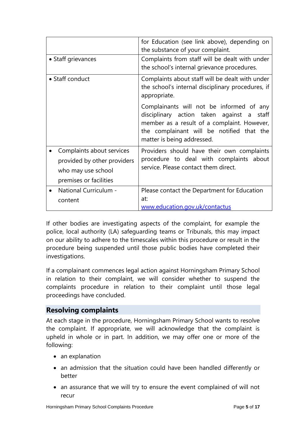|                                                                                                          | for Education (see link above), depending on<br>the substance of your complaint.                                                                                                                                   |  |  |
|----------------------------------------------------------------------------------------------------------|--------------------------------------------------------------------------------------------------------------------------------------------------------------------------------------------------------------------|--|--|
| • Staff grievances                                                                                       | Complaints from staff will be dealt with under<br>the school's internal grievance procedures.                                                                                                                      |  |  |
| • Staff conduct                                                                                          | Complaints about staff will be dealt with under<br>the school's internal disciplinary procedures, if<br>appropriate.                                                                                               |  |  |
|                                                                                                          | Complainants will not be informed of any<br>disciplinary action taken against a<br>staff<br>member as a result of a complaint. However,<br>the complainant will be notified that the<br>matter is being addressed. |  |  |
| Complaints about services<br>provided by other providers<br>who may use school<br>premises or facilities | Providers should have their own complaints<br>procedure to deal with complaints about<br>service. Please contact them direct.                                                                                      |  |  |
| National Curriculum -<br>content                                                                         | Please contact the Department for Education<br>at:<br>www.education.gov.uk/contactus                                                                                                                               |  |  |

If other bodies are investigating aspects of the complaint, for example the police, local authority (LA) safeguarding teams or Tribunals, this may impact on our ability to adhere to the timescales within this procedure or result in the procedure being suspended until those public bodies have completed their investigations.

If a complainant commences legal action against Horningsham Primary School in relation to their complaint, we will consider whether to suspend the complaints procedure in relation to their complaint until those legal proceedings have concluded.

### **Resolving complaints**

At each stage in the procedure, Horningsham Primary School wants to resolve the complaint. If appropriate, we will acknowledge that the complaint is upheld in whole or in part. In addition, we may offer one or more of the following:

- an explanation
- an admission that the situation could have been handled differently or better
- an assurance that we will try to ensure the event complained of will not recur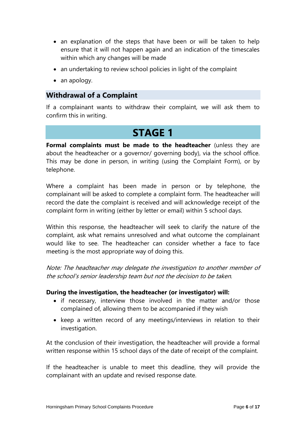- an explanation of the steps that have been or will be taken to help ensure that it will not happen again and an indication of the timescales within which any changes will be made
- an undertaking to review school policies in light of the complaint
- an apology.

### **Withdrawal of a Complaint**

If a complainant wants to withdraw their complaint, we will ask them to confirm this in writing.

### **STAGE 1**

**Formal complaints must be made to the headteacher** (unless they are about the headteacher or a governor/ governing body), via the school office. This may be done in person, in writing (using the Complaint Form), or by telephone.

Where a complaint has been made in person or by telephone, the complainant will be asked to complete a complaint form. The headteacher will record the date the complaint is received and will acknowledge receipt of the complaint form in writing (either by letter or email) within 5 school days.

Within this response, the headteacher will seek to clarify the nature of the complaint, ask what remains unresolved and what outcome the complainant would like to see. The headteacher can consider whether a face to face meeting is the most appropriate way of doing this.

Note: The headteacher may delegate the investigation to another member of the school's senior leadership team but not the decision to be taken.

### **During the investigation, the headteacher (or investigator) will:**

- if necessary, interview those involved in the matter and/or those complained of, allowing them to be accompanied if they wish
- keep a written record of any meetings/interviews in relation to their investigation.

At the conclusion of their investigation, the headteacher will provide a formal written response within 15 school days of the date of receipt of the complaint.

If the headteacher is unable to meet this deadline, they will provide the complainant with an update and revised response date.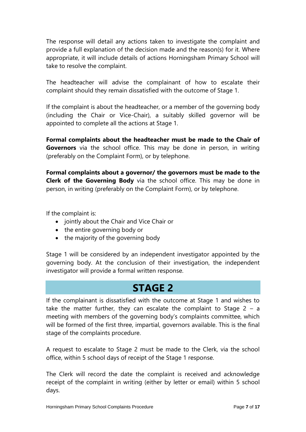The response will detail any actions taken to investigate the complaint and provide a full explanation of the decision made and the reason(s) for it. Where appropriate, it will include details of actions Horningsham Primary School will take to resolve the complaint.

The headteacher will advise the complainant of how to escalate their complaint should they remain dissatisfied with the outcome of Stage 1.

If the complaint is about the headteacher, or a member of the governing body (including the Chair or Vice-Chair), a suitably skilled governor will be appointed to complete all the actions at Stage 1.

**Formal complaints about the headteacher must be made to the Chair of Governors** via the school office. This may be done in person, in writing (preferably on the Complaint Form), or by telephone.

**Formal complaints about a governor/ the governors must be made to the Clerk of the Governing Body** via the school office. This may be done in person, in writing (preferably on the Complaint Form), or by telephone.

If the complaint is:

- jointly about the Chair and Vice Chair or
- the entire governing body or
- the majority of the governing body

Stage 1 will be considered by an independent investigator appointed by the governing body. At the conclusion of their investigation, the independent investigator will provide a formal written response.

### **STAGE 2**

If the complainant is dissatisfied with the outcome at Stage 1 and wishes to take the matter further, they can escalate the complaint to Stage  $2 - a$ meeting with members of the governing body's complaints committee, which will be formed of the first three, impartial, governors available. This is the final stage of the complaints procedure.

A request to escalate to Stage 2 must be made to the Clerk, via the school office, within 5 school days of receipt of the Stage 1 response.

The Clerk will record the date the complaint is received and acknowledge receipt of the complaint in writing (either by letter or email) within 5 school days.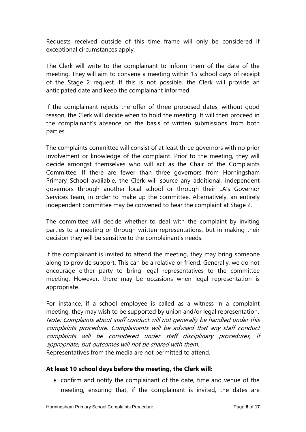Requests received outside of this time frame will only be considered if exceptional circumstances apply.

The Clerk will write to the complainant to inform them of the date of the meeting. They will aim to convene a meeting within 15 school days of receipt of the Stage 2 request. If this is not possible, the Clerk will provide an anticipated date and keep the complainant informed.

If the complainant rejects the offer of three proposed dates, without good reason, the Clerk will decide when to hold the meeting. It will then proceed in the complainant's absence on the basis of written submissions from both parties.

The complaints committee will consist of at least three governors with no prior involvement or knowledge of the complaint. Prior to the meeting, they will decide amongst themselves who will act as the Chair of the Complaints Committee. If there are fewer than three governors from Horningsham Primary School available, the Clerk will source any additional, independent governors through another local school or through their LA's Governor Services team, in order to make up the committee. Alternatively, an entirely independent committee may be convened to hear the complaint at Stage 2.

The committee will decide whether to deal with the complaint by inviting parties to a meeting or through written representations, but in making their decision they will be sensitive to the complainant's needs.

If the complainant is invited to attend the meeting, they may bring someone along to provide support. This can be a relative or friend. Generally, we do not encourage either party to bring legal representatives to the committee meeting. However, there may be occasions when legal representation is appropriate.

For instance, if a school employee is called as a witness in a complaint meeting, they may wish to be supported by union and/or legal representation. Note: Complaints about staff conduct will not generally be handled under this complaints procedure. Complainants will be advised that any staff conduct complaints will be considered under staff disciplinary procedures, if appropriate, but outcomes will not be shared with them. Representatives from the media are not permitted to attend.

### **At least 10 school days before the meeting, the Clerk will:**

 confirm and notify the complainant of the date, time and venue of the meeting, ensuring that, if the complainant is invited, the dates are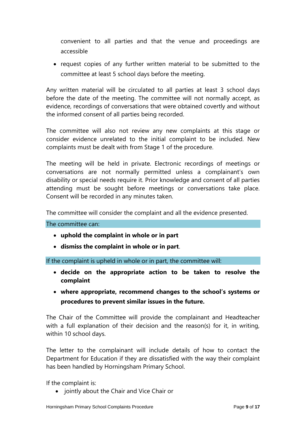convenient to all parties and that the venue and proceedings are accessible

• request copies of any further written material to be submitted to the committee at least 5 school days before the meeting.

Any written material will be circulated to all parties at least 3 school days before the date of the meeting. The committee will not normally accept, as evidence, recordings of conversations that were obtained covertly and without the informed consent of all parties being recorded.

The committee will also not review any new complaints at this stage or consider evidence unrelated to the initial complaint to be included. New complaints must be dealt with from Stage 1 of the procedure.

The meeting will be held in private. Electronic recordings of meetings or conversations are not normally permitted unless a complainant's own disability or special needs require it. Prior knowledge and consent of all parties attending must be sought before meetings or conversations take place. Consent will be recorded in any minutes taken.

The committee will consider the complaint and all the evidence presented.

The committee can:

- **uphold the complaint in whole or in part**
- **dismiss the complaint in whole or in part**.

If the complaint is upheld in whole or in part, the committee will:

- **decide on the appropriate action to be taken to resolve the complaint**
- **where appropriate, recommend changes to the school's systems or procedures to prevent similar issues in the future.**

The Chair of the Committee will provide the complainant and Headteacher with a full explanation of their decision and the reason(s) for it, in writing, within 10 school days.

The letter to the complainant will include details of how to contact the Department for Education if they are dissatisfied with the way their complaint has been handled by Horningsham Primary School.

If the complaint is:

• jointly about the Chair and Vice Chair or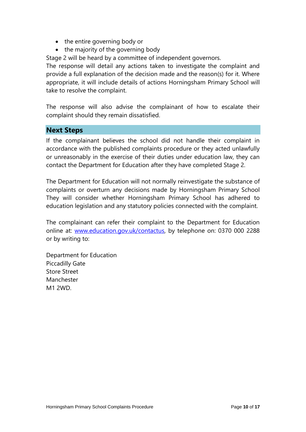- the entire governing body or
- the majority of the governing body

Stage 2 will be heard by a committee of independent governors.

The response will detail any actions taken to investigate the complaint and provide a full explanation of the decision made and the reason(s) for it. Where appropriate, it will include details of actions Horningsham Primary School will take to resolve the complaint.

The response will also advise the complainant of how to escalate their complaint should they remain dissatisfied.

### **Next Steps**

If the complainant believes the school did not handle their complaint in accordance with the published complaints procedure or they acted unlawfully or unreasonably in the exercise of their duties under education law, they can contact the Department for Education after they have completed Stage 2.

The Department for Education will not normally reinvestigate the substance of complaints or overturn any decisions made by Horningsham Primary School They will consider whether Horningsham Primary School has adhered to education legislation and any statutory policies connected with the complaint.

The complainant can refer their complaint to the Department for Education online at: [www.education.gov.uk/contactus,](http://www.education.gov.uk/contactus) by telephone on: 0370 000 2288 or by writing to:

Department for Education Piccadilly Gate Store Street Manchester M1 2WD.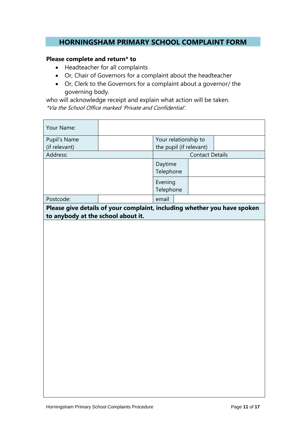### **HORNINGSHAM PRIMARY SCHOOL COMPLAINT FORM**

### **Please complete and return\* to**

- Headteacher for all complaints
- Or, Chair of Governors for a complaint about the headteacher
- Or, Clerk to the Governors for a complaint about a governor/ the governing body.

who will acknowledge receipt and explain what action will be taken. \*Via the School Office marked 'Private and Confidential'.

| Your Name:                         |                                                                          |                         |                        |  |
|------------------------------------|--------------------------------------------------------------------------|-------------------------|------------------------|--|
| Pupil's Name                       |                                                                          | Your relationship to    |                        |  |
| (if relevant)                      |                                                                          | the pupil (if relevant) |                        |  |
| Address:                           |                                                                          |                         | <b>Contact Details</b> |  |
|                                    |                                                                          | Daytime<br>Telephone    |                        |  |
|                                    |                                                                          | Evening<br>Telephone    |                        |  |
| Postcode:                          |                                                                          | email                   |                        |  |
|                                    | Please give details of your complaint, including whether you have spoken |                         |                        |  |
| to anybody at the school about it. |                                                                          |                         |                        |  |
|                                    |                                                                          |                         |                        |  |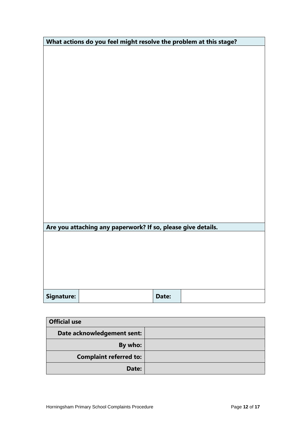| What actions do you feel might resolve the problem at this stage? |  |       |  |
|-------------------------------------------------------------------|--|-------|--|
|                                                                   |  |       |  |
|                                                                   |  |       |  |
|                                                                   |  |       |  |
|                                                                   |  |       |  |
|                                                                   |  |       |  |
|                                                                   |  |       |  |
|                                                                   |  |       |  |
|                                                                   |  |       |  |
|                                                                   |  |       |  |
|                                                                   |  |       |  |
|                                                                   |  |       |  |
|                                                                   |  |       |  |
|                                                                   |  |       |  |
|                                                                   |  |       |  |
|                                                                   |  |       |  |
|                                                                   |  |       |  |
|                                                                   |  |       |  |
|                                                                   |  |       |  |
| Are you attaching any paperwork? If so, please give details.      |  |       |  |
|                                                                   |  |       |  |
|                                                                   |  |       |  |
|                                                                   |  |       |  |
|                                                                   |  |       |  |
|                                                                   |  |       |  |
|                                                                   |  |       |  |
| Signature:                                                        |  | Date: |  |

| <b>Official use</b>           |  |  |
|-------------------------------|--|--|
| Date acknowledgement sent:    |  |  |
| By who:                       |  |  |
| <b>Complaint referred to:</b> |  |  |
| Date:                         |  |  |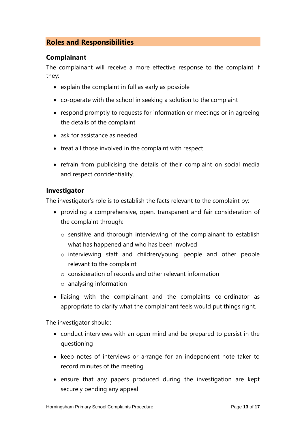### **Roles and Responsibilities**

### **Complainant**

The complainant will receive a more effective response to the complaint if they:

- explain the complaint in full as early as possible
- co-operate with the school in seeking a solution to the complaint
- respond promptly to requests for information or meetings or in agreeing the details of the complaint
- ask for assistance as needed
- treat all those involved in the complaint with respect
- refrain from publicising the details of their complaint on social media and respect confidentiality.

### **Investigator**

The investigator's role is to establish the facts relevant to the complaint by:

- providing a comprehensive, open, transparent and fair consideration of the complaint through:
	- o sensitive and thorough interviewing of the complainant to establish what has happened and who has been involved
	- o interviewing staff and children/young people and other people relevant to the complaint
	- o consideration of records and other relevant information
	- o analysing information
- liaising with the complainant and the complaints co-ordinator as appropriate to clarify what the complainant feels would put things right.

The investigator should:

- conduct interviews with an open mind and be prepared to persist in the questioning
- keep notes of interviews or arrange for an independent note taker to record minutes of the meeting
- ensure that any papers produced during the investigation are kept securely pending any appeal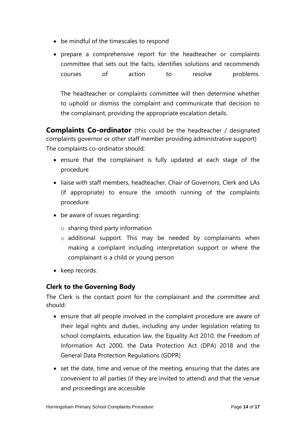- be mindful of the timescales to respond
- prepare a comprehensive report for the headteacher or complaints committee that sets out the facts, identifies solutions and recommends courses of action to resolve problems.

The headteacher or complaints committee will then determine whether to uphold or dismiss the complaint and communicate that decision to the complainant, providing the appropriate escalation details.

**Complaints Co-ordinator** (this could be the headteacher / designated complaints governor or other staff member providing administrative support) The complaints co-ordinator should:

- ensure that the complainant is fully updated at each stage of the procedure
- liaise with staff members, headteacher, Chair of Governors, Clerk and LAs (if appropriate) to ensure the smooth running of the complaints procedure
- be aware of issues regarding:
	- o sharing third party information
	- o additional support. This may be needed by complainants when making a complaint including interpretation support or where the complainant is a child or young person
- keep records.

### **Clerk to the Governing Body**

The Clerk is the contact point for the complainant and the committee and should:

- ensure that all people involved in the complaint procedure are aware of their legal rights and duties, including any under legislation relating to school complaints, education law, the Equality Act 2010, the Freedom of Information Act 2000, the Data Protection Act (DPA) 2018 and the General Data Protection Regulations (GDPR)
- set the date, time and venue of the meeting, ensuring that the dates are convenient to all parties (if they are invited to attend) and that the venue and proceedings are accessible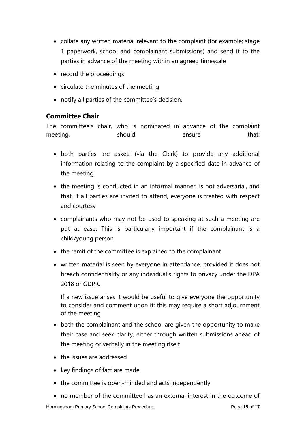- collate any written material relevant to the complaint (for example; stage 1 paperwork, school and complainant submissions) and send it to the parties in advance of the meeting within an agreed timescale
- record the proceedings
- $\bullet$  circulate the minutes of the meeting
- notify all parties of the committee's decision.

### **Committee Chair**

The committee's chair, who is nominated in advance of the complaint meeting, and should be ensure that:

- both parties are asked (via the Clerk) to provide any additional information relating to the complaint by a specified date in advance of the meeting
- the meeting is conducted in an informal manner, is not adversarial, and that, if all parties are invited to attend, everyone is treated with respect and courtesy
- complainants who may not be used to speaking at such a meeting are put at ease. This is particularly important if the complainant is a child/young person
- the remit of the committee is explained to the complainant
- written material is seen by everyone in attendance, provided it does not breach confidentiality or any individual's rights to privacy under the DPA 2018 or GDPR.

If a new issue arises it would be useful to give everyone the opportunity to consider and comment upon it; this may require a short adjournment of the meeting

- both the complainant and the school are given the opportunity to make their case and seek clarity, either through written submissions ahead of the meeting or verbally in the meeting itself
- the issues are addressed
- key findings of fact are made
- the committee is open-minded and acts independently
- no member of the committee has an external interest in the outcome of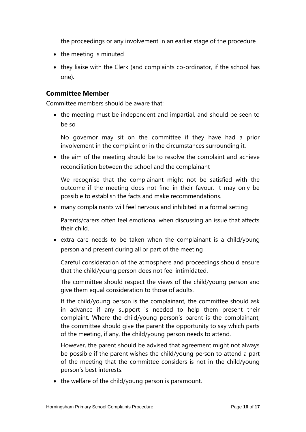the proceedings or any involvement in an earlier stage of the procedure

- the meeting is minuted
- they liaise with the Clerk (and complaints co-ordinator, if the school has one).

### **Committee Member**

Committee members should be aware that:

• the meeting must be independent and impartial, and should be seen to be so

No governor may sit on the committee if they have had a prior involvement in the complaint or in the circumstances surrounding it.

• the aim of the meeting should be to resolve the complaint and achieve reconciliation between the school and the complainant

We recognise that the complainant might not be satisfied with the outcome if the meeting does not find in their favour. It may only be possible to establish the facts and make recommendations.

many complainants will feel nervous and inhibited in a formal setting

Parents/carers often feel emotional when discussing an issue that affects their child.

 extra care needs to be taken when the complainant is a child/young person and present during all or part of the meeting

Careful consideration of the atmosphere and proceedings should ensure that the child/young person does not feel intimidated.

The committee should respect the views of the child/young person and give them equal consideration to those of adults.

If the child/young person is the complainant, the committee should ask in advance if any support is needed to help them present their complaint. Where the child/young person's parent is the complainant, the committee should give the parent the opportunity to say which parts of the meeting, if any, the child/young person needs to attend.

However, the parent should be advised that agreement might not always be possible if the parent wishes the child/young person to attend a part of the meeting that the committee considers is not in the child/young person's best interests.

• the welfare of the child/young person is paramount.